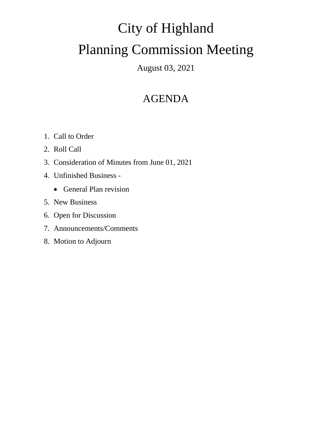# City of Highland Planning Commission Meeting

### August 03, 2021

## AGENDA

- 1. Call to Order
- 2. Roll Call
- 3. Consideration of Minutes from June 01, 2021
- 4. Unfinished Business
	- General Plan revision
- 5. New Business
- 6. Open for Discussion
- 7. Announcements/Comments
- 8. Motion to Adjourn